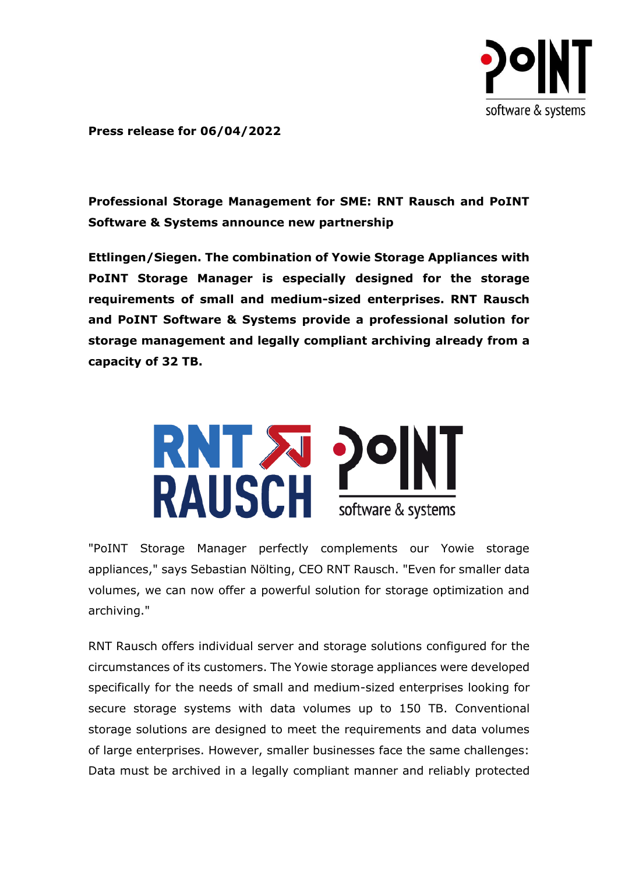

**Press release for 06/04/2022**

**Professional Storage Management for SME: RNT Rausch and PoINT Software & Systems announce new partnership**

**Ettlingen/Siegen. The combination of Yowie Storage Appliances with PoINT Storage Manager is especially designed for the storage requirements of small and medium-sized enterprises. RNT Rausch and PoINT Software & Systems provide a professional solution for storage management and legally compliant archiving already from a capacity of 32 TB.**



"PoINT Storage Manager perfectly complements our Yowie storage appliances," says Sebastian Nölting, CEO RNT Rausch. "Even for smaller data volumes, we can now offer a powerful solution for storage optimization and archiving."

RNT Rausch offers individual server and storage solutions configured for the circumstances of its customers. The Yowie storage appliances were developed specifically for the needs of small and medium-sized enterprises looking for secure storage systems with data volumes up to 150 TB. Conventional storage solutions are designed to meet the requirements and data volumes of large enterprises. However, smaller businesses face the same challenges: Data must be archived in a legally compliant manner and reliably protected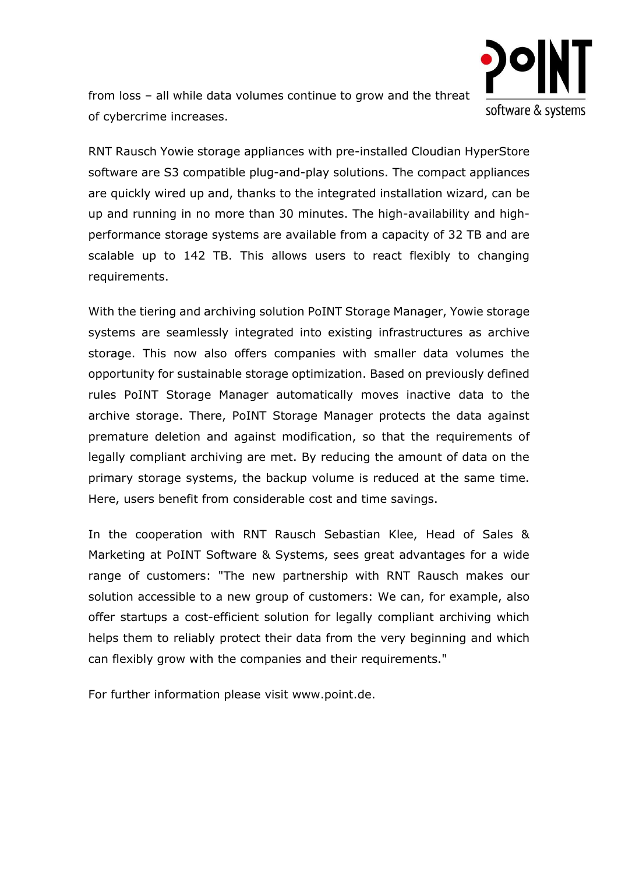

from loss – all while data volumes continue to grow and the threat of cybercrime increases.

RNT Rausch Yowie storage appliances with pre-installed Cloudian HyperStore software are S3 compatible plug-and-play solutions. The compact appliances are quickly wired up and, thanks to the integrated installation wizard, can be up and running in no more than 30 minutes. The high-availability and highperformance storage systems are available from a capacity of 32 TB and are scalable up to 142 TB. This allows users to react flexibly to changing requirements.

With the tiering and archiving solution PoINT Storage Manager, Yowie storage systems are seamlessly integrated into existing infrastructures as archive storage. This now also offers companies with smaller data volumes the opportunity for sustainable storage optimization. Based on previously defined rules PoINT Storage Manager automatically moves inactive data to the archive storage. There, PoINT Storage Manager protects the data against premature deletion and against modification, so that the requirements of legally compliant archiving are met. By reducing the amount of data on the primary storage systems, the backup volume is reduced at the same time. Here, users benefit from considerable cost and time savings.

In the cooperation with RNT Rausch Sebastian Klee, Head of Sales & Marketing at PoINT Software & Systems, sees great advantages for a wide range of customers: "The new partnership with RNT Rausch makes our solution accessible to a new group of customers: We can, for example, also offer startups a cost-efficient solution for legally compliant archiving which helps them to reliably protect their data from the very beginning and which can flexibly grow with the companies and their requirements."

For further information please visit www.point.de.